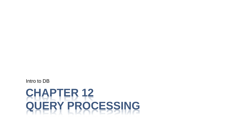# **CHAPTER 12 QUERY PROCESSING**

Intro to DB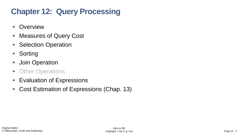## **Chapter 12: Query Processing**

- Overview
- Measures of Query Cost
- Selection Operation
- Sorting
- **■** Join Operation
- Other Operations
- Evaluation of Expressions
- Cost Estimation of Expressions (Chap. 13)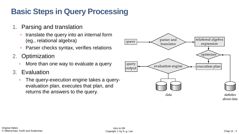## **Basic Steps in Query Processing**

- 1. Parsing and translation
	- translate the query into an internal form (eg., relational algebra)
	- **Parser checks syntax, verifies relations**
- 2. Optimization
	- More than one way to evaluate a query
- 3. Evaluation
	- The query-execution engine takes a queryevaluation plan, executes that plan, and returns the answers to the query.

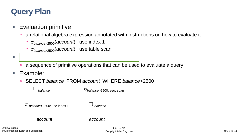#### **Query Plan**

#### **Evaluation primitive**

- a relational algebra expression annotated with instructions on how to evaluate it
	- *balance*>2500(*account*): use index 1
	- *balance*>2500(*account*): use table scan
- Query evaluation (execution) plan
	- **a** a sequence of primitive operations that can be used to evaluate a query
- Example:
	- SELECT *balance* FROM *account* WHERE *balance*>2500

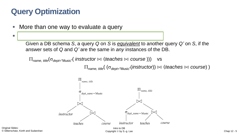#### **Query Optimization**

■ More than one way to evaluate a query

▪ **Equivalence of Expressions**

Given a DB schema *S*, a query *Q* on *S* is *equivalent* to another query *Q'* on *S*, if the answer sets of *Q* and *Q'* are the same in *any* instances of the DB.

 $\Pi_{name, title}(\sigma_{dept=``Music''}(instructor \bowtie (teaches \bowtie course)))$  vs

 $\Pi_{name, title}({\sigma_{dept}}_{Music}^{\prime\prime}(instructor)) \bowtie (teaches \bowtie course)$ )



Original Slides: © Silberschatz, Korth and Sudarshan

Copyright © by S.-g. Lee Chap 12 - 5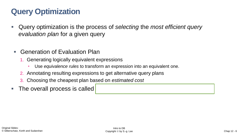## **Query Optimization**

- Query optimization is the process of *selecting* the *most efficient query evaluation plan* for a given query
	- Generation of Evaluation Plan
		- 1. Generating logically equivalent expressions
			- Use *equivalence rules* to transform an expression into an equivalent one.
		- 2. Annotating resulting expressions to get alternative query plans
		- 3. Choosing the cheapest plan based on *estimated cost*
- **The overall process is called**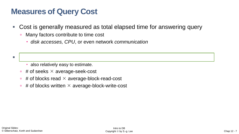#### **Measures of Query Cost**

- Cost is generally measured as total elapsed time for answering query
	- Many factors contribute to time cost
		- *disk accesses, CPU*, or even network *communication*

- also relatively easy to estimate.
- $\overline{p}$  # of seeks  $\times$  average-seek-cost
- $\overline{p}$  # of blocks read  $\times$  average-block-read-cost
- $\overline{p}$  # of blocks written  $\times$  average-block-write-cost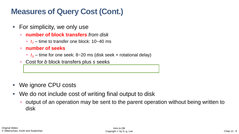#### **Measures of Query Cost (Cont.)**

- For simplicity, we only use
	- **number of block transfers** *from disk* 
		- $t_T$  time to transfer one block: 10~40 ms
	- **number of seeks**
		- $t_s$  time for one seek: 8~20 ms (disk seek + rotational delay)
	- Cost for *b* block transfers plus *s* seeks

- We ignore CPU costs
- We do not include cost of writing final output to disk
	- output of an operation may be sent to the parent operation without being written to disk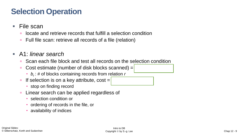#### **Selection Operation**

- File scan
	- locate and retrieve records that fulfill a selection condition
	- Full file scan: retrieve all records of a file (relation)
- A1: *linear search*
	- Scan each file block and test all records on the selection condition
	- Cost estimate (number of disk blocks scanned) = *b<sup>r</sup>*
		- *b<sup>r</sup>* : # of blocks containing records from relation *r*
	- If selection is on a key attribute, cost =
		- stop on finding record
	- **Linear search can be applied regardless of** 
		- selection condition or
		- ordering of records in the file, or
		- availability of indices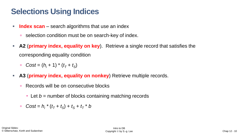#### **Selections Using Indices**

- **Index scan** search algorithms that use an index
	- selection condition must be on search-key of index.
- **A2** (**primary index, equality on key**). Retrieve a single record that satisfies the corresponding equality condition
	- *Cost* =  $(h_i + 1) * (t_T + t_S)$
- **A3 (primary index, equality on nonkey)** Retrieve multiple records.
	- **Records will be on consecutive blocks** 
		- Let *b* = number of blocks containing matching records
	- □  $Cost = h_i * (t_7 + t_5) + t_5 + t_7 * b$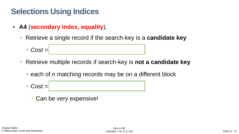#### **Selections Using Indices**

- **A4** (**secondary index, equality**)*.*
	- Retrieve a single record if the search-key is a **candidate key**
		- $\blacksquare$  *Cost* =
	- Retrieve multiple records if search-key is **not a candidate key**
		- each of *n* matching records may be on a different block
		- $\cdot$  Cost  $=$ 
			- Can be very expensive!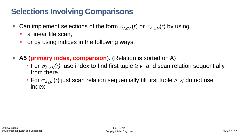#### **Selections Involving Comparisons**

- Can implement selections of the form  $\sigma_{A\leq V}(r)$  or  $\sigma_{A\geq V}(r)$  by using
	- **a** linear file scan,
	- or by using indices in the following ways:
- **A5** (**primary index, comparison**)*.* (Relation is sorted on A)
	- For  $\sigma_{A\geq V}(r)$  use index to find first tuple  $\geq v$  and scan relation sequentially from there
	- For  $\sigma_{A\lt V}(r)$  just scan relation sequentially till first tuple  $> v$ ; do not use index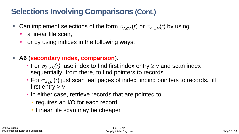#### **Selections Involving Comparisons (Cont.)**

- Can implement selections of the form  $\sigma_{A\leq V}(r)$  or  $\sigma_{A\geq V}(r)$  by using
	- **a** linear file scan,
	- **p** or by using indices in the following ways:
- **A6** (**secondary index, comparison**).
	- For  $\sigma_{A\geq V}(r)$  use index to find first index entry  $\geq v$  and scan index sequentially from there, to find pointers to records.
	- For  $\sigma_{A\lt V}(r)$  just scan leaf pages of index finding pointers to records, till first entry > *v*
	- In either case, retrieve records that are pointed to
		- requires an I/O for each record
		- **Linear file scan may be cheaper**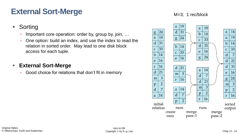#### **External Sort-Merge**

- Sorting
	- Important core operation: order by, group by, join, ...
	- One option: build an index, and use the index to read the relation in sorted order. May lead to one disk block access for each tuple.

#### **External Sort-Merge**

■ Good choice for relations that don't fit in memory



M=3; 1 rec/block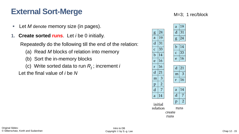#### **External Sort-Merge**

- **E** Let *M* denote memory size (in pages).
- **1. Create sorted runs**. Let *i* be 0 initially.

Repeatedly do the following till the end of the relation:

- (a) Read *M* blocks of relation into memory
- (b) Sort the in-memory blocks
- (c) Write sorted data to run *Ri* ; increment *i*

Let the final value of *i* be *N* 

|                             |                |                | a              | 19 |
|-----------------------------|----------------|----------------|----------------|----|
| $\overline{\mathrm{g}}$     | 24             |                | d              | 31 |
| a                           | 19             |                | g              | 24 |
| $\mathbf d$                 | 31             |                |                |    |
| $\overline{c}$              | 33             |                | $\mathbf b$    | 14 |
| b                           | 14             |                | $\mathbf C$    | 33 |
| e                           | 16             |                | e              | 16 |
|                             |                |                |                |    |
| r                           | 16             |                | $\mathbf{d}$   | 21 |
| d                           | 21             |                | m              | 3  |
| m                           | 3              |                | r              | 16 |
| $\overline{p}$              | $\overline{2}$ |                |                |    |
| $\overline{\mathbf{d}}$     | $\overline{7}$ |                | a              | 14 |
| a                           | 14             |                | d              | 7  |
|                             |                | $\overline{p}$ | $\overline{2}$ |    |
| initial<br>relation<br>runs |                |                |                |    |
| create                      |                |                |                |    |
| runs                        |                |                |                |    |

M=3; 1 rec/block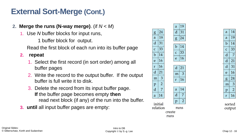#### **External Sort-Merge (Cont.)**

- **2. Merge the runs (N-way merge)**. (if *N* < *M*)
	- 1. Use *N* buffer blocks for input runs,

1 buffer block for output.

Read the first block of each run into its buffer page

#### **2. repeat**

- 1. Select the first record (in sort order) among all buffer pages
- 2. Write the record to the output buffer. If the output buffer is full write it to disk.
- 3. Delete the record from its input buffer page. **If** the buffer page becomes empty **then** read next block (if any) of the run into the buffer.
- **3. until** all input buffer pages are empty:

|                             |                |               | a                       | 19             |  |
|-----------------------------|----------------|---------------|-------------------------|----------------|--|
| g                           | 24             |               | d                       | 31             |  |
| a                           | 19             |               | g                       | 24             |  |
| $\mathbf d$                 | 31             |               |                         |                |  |
| $\overline{c}$              | 33             |               | $\mathbf b$             | 14             |  |
| $\mathbf b$                 | 14             |               | $\overline{C}$          | 3 <sup>2</sup> |  |
| e                           | 16             |               | e                       | 16             |  |
|                             |                |               |                         |                |  |
| r                           | 16             |               | $\overline{\mathbf{d}}$ | 21             |  |
| $\mathbf d$                 | 21             |               | m                       | Ć              |  |
| m                           | 3              |               | r                       | 16             |  |
| $\overline{p}$              | $\overline{2}$ |               |                         |                |  |
| $\mathbf d$                 | $\overline{7}$ |               | a                       | 14             |  |
| a                           | 14             |               | $\overline{d}$          | 7              |  |
|                             | $\overline{p}$ | $\frac{1}{2}$ |                         |                |  |
| initial<br>relation<br>runs |                |               |                         |                |  |
| create                      |                |               |                         |                |  |
| runs                        |                |               |                         |                |  |
|                             |                |               |                         |                |  |

|  | a | 14             |
|--|---|----------------|
|  | a | 19             |
|  | b | 14             |
|  | c | 33             |
|  | d | 7              |
|  | d | 21             |
|  | d | 31             |
|  | e | 16             |
|  | g | 24             |
|  | m | 3              |
|  | p | $\overline{2}$ |
|  | r | 16             |
|  |   |                |

sorted output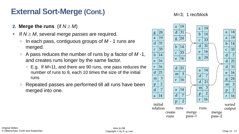#### **External Sort-Merge (Cont.)**

- **2. Merge the runs** (if  $N \geq M$ )
- **If**  $N \geq M$ , several merge *passes* are required.
	- In each pass, contiguous groups of *M* 1 runs are merged.
	- A pass reduces the number of runs by a factor of *M* -1, and creates runs longer by the same factor.
		- E.g. If *M*=11, and there are 90 runs, one pass reduces the number of runs to 9, each 10 times the size of the initial runs
	- Repeated passes are performed till all runs have been merged into one.

#### M=3; 1 rec/block

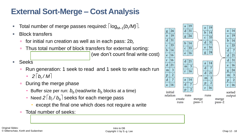#### **External Sort-Merge – Cost Analysis**

- Total number of merge passes required:  $\log_{M\!-\!1}(b/M)$ .
- **Block transfers** 
	- for initial run creation as well as in each pass: 2*b<sup>r</sup>*
	- Thus total number of block transfers for external sorting: *(we don't count final write cost)*
- **Seeks** 
	- Run generation: 1 seek to read and 1 seek to write each run
		- $-$  2 |  $b_r/M$  |
	- **During the merge phase** 
		- Buffer size per run:  $b<sub>b</sub>$  (read/write  $b<sub>b</sub>$  blocks at a time)
		- Need 2  $\mid$   $b_r$  /  $b_b$   $\mid$  seeks for each merge pass
			- except the final one which does not require a write
	- Total number of seeks:

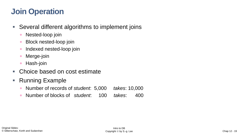#### **Join Operation**

- Several different algorithms to implement joins
	- Nested-loop join
	- Block nested-loop join
	- **Indexed nested-loop join**
	- Merge-join
	- Hash-join
- Choice based on cost estimate
- Running Example
	- Number of records of *student*: 5,000 *takes*: 10,000
	- Number of blocks of *student*: 100 *takes*: 400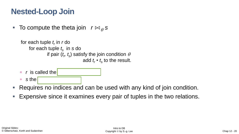#### **Nested-Loop Join**

■ To compute the theta join  $r \bowtie A$ 

```
for each tuple t
r
in r do 
    for each tuple ts
in s do
               if pair (t_r, t_s) satisfy the join condition \thetaadd t_r \cdot t_s to the result.
```
- $\overline{r}$  r is called the
- *<u>n</u>* sthe
- Requires no indices and can be used with any kind of join condition.
- Expensive since it examines every pair of tuples in the two relations.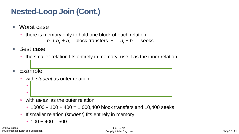## **Nested-Loop Join (Cont.)**

- Worst case
	- there is memory only to hold one block of each relation

 $n_r * b_s + b_r$  block transfers +  $n_r + b_r$  seeks

- Best case
	- the smaller relation fits entirely in memory: use it as the inner relation
- **Example** 
	- with *student* as outer relation:

with *takes* as the outer relation

5000 + 100 = 5100 seeks

- $10000 * 100 + 400 = 1,000,400$  block transfers and 10,400 seeks
- **If smaller relation (***student***)** fits entirely in memory

5000 400 + 100 = 2,000,100 block transfers,

 $\cdot$  100 + 400 = 500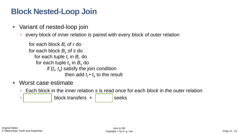#### **Block Nested-Loop Join**

- Variant of nested-loop join
	- every block of inner relation is paired with every block of outer relation

```
for each block Br of r do 
for each block Bs of s do 
    for each tuple t_r in B_r do
     for each tuple t_{\rm s} in B_{\rm s} do
            if (t<sub>r</sub>, t<sub>s</sub>) satisfy the join condition
                        then add t_r \cdot t_{\rm s} to the result
```
- Worst case estimate
	- Each block in the inner relation *s* is read once for each *block* in the outer relation

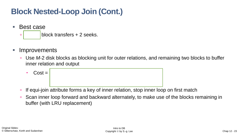### **Block Nested-Loop Join (Cont.)**



- *b<sup>r</sup>* block transfers + 2 seeks.
- **Improvements** 
	- Use *M*-2 disk blocks as blocking unit for outer relations, and remaining two blocks to buffer inner relation and output
		- $\bullet$  **Cost** =
	- **If equi-join attribute forms a key of inner relation, stop inner loop on first match**
	- Scan inner loop forward and backward alternately, to make use of the blocks remaining in buffer (with LRU replacement)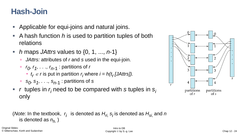#### **Hash-Join**

- Applicable for equi-joins and natural joins.
- A hash function *h* is used to partition tuples of both relations
- *h* maps *JAttrs* values to {0, 1, ..., *n*-1}
	- **JAttrs: attributes of r and** *s* **used in the equi-join.**
	- □ *r<sub>0</sub>, r<sub>1</sub>, . . ., r<sub>n-1</sub>* : partitions of *r* 
		- $t_r \in r$  is put in partition  $r_i$  where  $i = h(t_r[JAttrs])$ .
	- □ *s<sub>0</sub>, s<sub>1</sub>, . . ., s<sub>n-1</sub>* : partitions of *s*
- *r* tuples in *r<sub>i</sub>* need to be compared with *s* tuples in *s*<sub>*i*</sub> only

(Note: In the textbook, 
$$
r_i
$$
 is denoted as  $H_{ri}$ ,  $s_i$  is denoted as  $H_{si}$ , and *n* is denoted as  $n_{h}$ .)

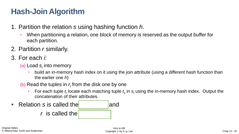#### **Hash-Join Algorithm**

- 1. Partition the relation *s* using hashing function *h*.
	- When partitioning a relation, one block of memory is reserved as the output buffer for each partition.
- 2. Partition *r* similarly.
- 3. For each *i:*
	- (a) Load *s<sup>i</sup>* into memory
		- build an in-memory hash index on it using the join attribute (using a different hash function than the earlier one *h*)
	- (b) Read the tuples in  $r_i$  from the disk one by one
		- For each tuple  $t_r$  locate each matching tuple  $t_s$  in  $s_i$  using the in-memory hash index. Output the concatenation of their attributes.
- **E** Relation *s* is called the build input and *r* is called the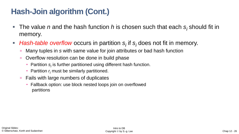#### **Hash-Join algorithm (Cont.)**

- The value *n* and the hash function *h* is chosen such that each *s<sub>i</sub>* should fit in memory.
- *Hash-table overflow* occurs in partition *s<sub>i</sub>* if *s<sub>i</sub>* does not fit in memory.
	- Many tuples in *s* with same value for join attributes or bad hash function
	- Overflow resolution can be done in build phase
		- Partition  $s_i$  is further partitioned using different hash function.
		- **Partition**  $r_i$  **must be similarly partitioned.**
	- Fails with large numbers of duplicates
		- Fallback option: use block nested loops join on overflowed partitions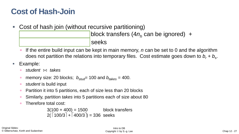#### **Cost of Hash-Join**

- Cost of hash join (without recursive partitioning) 3(*b<sup>r</sup>* + *b<sup>s</sup>*  $\vert$ block transfers (4 $n_h$  can be ignored) + 2( *b<sup>r</sup> / b<sup>b</sup>* + *b<sup>s</sup> / b<sup>b</sup>* ) seeks
	- If the entire build input can be kept in main memory, *n* can be set to 0 and the algorithm does not partition the relations into temporary files. Cost estimate goes down to  $b_r + b_s$ .
- Example:
	- *student*  $\Join$  *takes*
	- memory size: 20 blocks;  $b_{\text{stud}} = 100$  and  $b_{\text{takes}} = 400$ .
	- *student* is build input
	- Partition it into 5 partitions, each of size less than 20 blocks
	- Similarly, partition *takes* into 5 partitions each of size about 80
	- Therefore total cost:

 $3(100 + 400) = 1500$  block transfers  $2(\lceil 100/3 \rceil + \lceil 400/3 \rceil) = 336$  seeks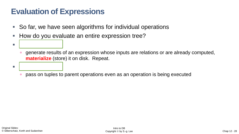#### **Evaluation of Expressions**

▪ *Materialization*

▪ *Pipelining*

- So far, we have seen algorithms for individual operations
- How do you evaluate an entire expression tree?
	- generate results of an expression whose inputs are relations or are already computed, **materialize** (store) it on disk. Repeat.
	- pass on tuples to parent operations even as an operation is being executed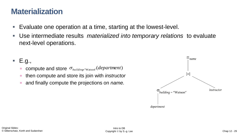#### **Materialization**

- Evaluate one operation at a time, starting at the lowest-level.
- Use intermediate results *materialized into temporary relations* to evaluate next-level operations.

#### $E.g.,$

- **compute and store**  $\sigma_{\textit{building}^{\text{w}}\text{Watson}^{\text{w}}}(\textit{department})$
- then compute and store its join with *instructor*
- and finally compute the projections on *name.*

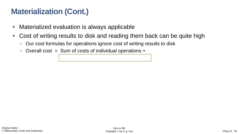#### **Materialization (Cont.)**

- **EXED Materialized evaluation is always applicable**
- Cost of writing results to disk and reading them back can be quite high

cost of writing intermediate results to disk

- Our cost formulas for operations ignore cost of writing results to disk
- Overall cost = Sum of costs of individual operations  $+$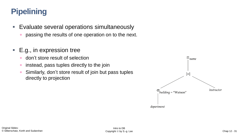## **Pipelining**

- **Evaluate several operations simultaneously** 
	- **passing the results of one operation on to the next.**
- E.g., in expression tree
	- don't store result of selection
	- *n* instead, pass tuples directly to the join
	- Similarly, don't store result of join but pass tuples directly to projection

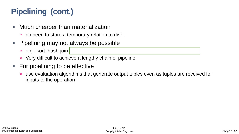# **Pipelining (cont.)**

- **E** Much cheaper than materialization
	- no need to store a temporary relation to disk.
- **Pipelining may not always be possible** 
	- **e.g., sort, hash-join:**
	- Very difficult to achieve a lengthy chain of pipeline
- For pipelining to be effective
	- use evaluation algorithms that generate output tuples even as tuples are received for inputs to the operation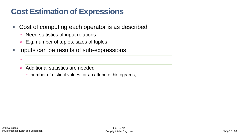#### **Cost Estimation of Expressions**

- Cost of computing each operator is as described
	- Need statistics of input relations
	- E.g. number of tuples, sizes of tuples
- **Inputs can be results of sub-expressions**

Need to estimate size of expression results

- Additional statistics are needed
	- number of distinct values for an attribute, histograms, …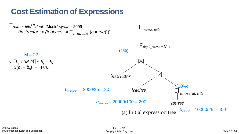#### **Cost Estimation of Expressions**

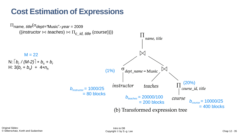#### **Cost Estimation of Expressions**